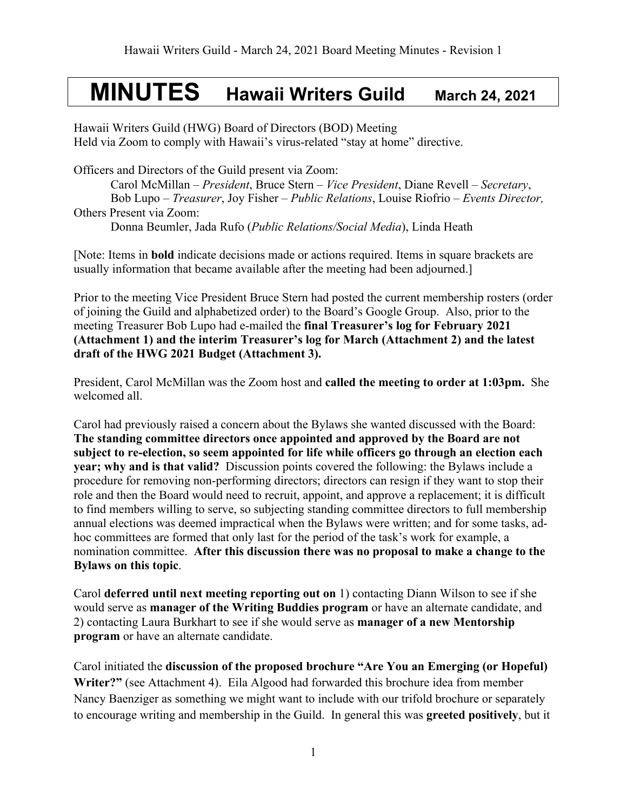## **MINUTES Hawaii Writers Guild March 24, 2021**

Hawaii Writers Guild (HWG) Board of Directors (BOD) Meeting Held via Zoom to comply with Hawaii's virus-related "stay at home" directive.

Officers and Directors of the Guild present via Zoom: Carol McMillan – *President*, Bruce Stern – *Vice President*, Diane Revell – *Secretary*, Bob Lupo – *Treasurer*, Joy Fisher – *Public Relations*, Louise Riofrio – *Events Director,*  Others Present via Zoom:

Donna Beumler, Jada Rufo (*Public Relations/Social Media*), Linda Heath

[Note: Items in **bold** indicate decisions made or actions required. Items in square brackets are usually information that became available after the meeting had been adjourned.]

Prior to the meeting Vice President Bruce Stern had posted the current membership rosters (order of joining the Guild and alphabetized order) to the Board's Google Group. Also, prior to the meeting Treasurer Bob Lupo had e-mailed the **final Treasurer's log for February 2021 (Attachment 1) and the interim Treasurer's log for March (Attachment 2) and the latest draft of the HWG 2021 Budget (Attachment 3).** 

President, Carol McMillan was the Zoom host and **called the meeting to order at 1:03pm.** She welcomed all.

Carol had previously raised a concern about the Bylaws she wanted discussed with the Board: **The standing committee directors once appointed and approved by the Board are not subject to re-election, so seem appointed for life while officers go through an election each year; why and is that valid?** Discussion points covered the following: the Bylaws include a procedure for removing non-performing directors; directors can resign if they want to stop their role and then the Board would need to recruit, appoint, and approve a replacement; it is difficult to find members willing to serve, so subjecting standing committee directors to full membership annual elections was deemed impractical when the Bylaws were written; and for some tasks, adhoc committees are formed that only last for the period of the task's work for example, a nomination committee. **After this discussion there was no proposal to make a change to the Bylaws on this topic**.

Carol **deferred until next meeting reporting out on** 1) contacting Diann Wilson to see if she would serve as **manager of the Writing Buddies program** or have an alternate candidate, and 2) contacting Laura Burkhart to see if she would serve as **manager of a new Mentorship program** or have an alternate candidate.

Carol initiated the **discussion of the proposed brochure "Are You an Emerging (or Hopeful) Writer?"** (see Attachment 4). Eila Algood had forwarded this brochure idea from member Nancy Baenziger as something we might want to include with our trifold brochure or separately to encourage writing and membership in the Guild. In general this was **greeted positively**, but it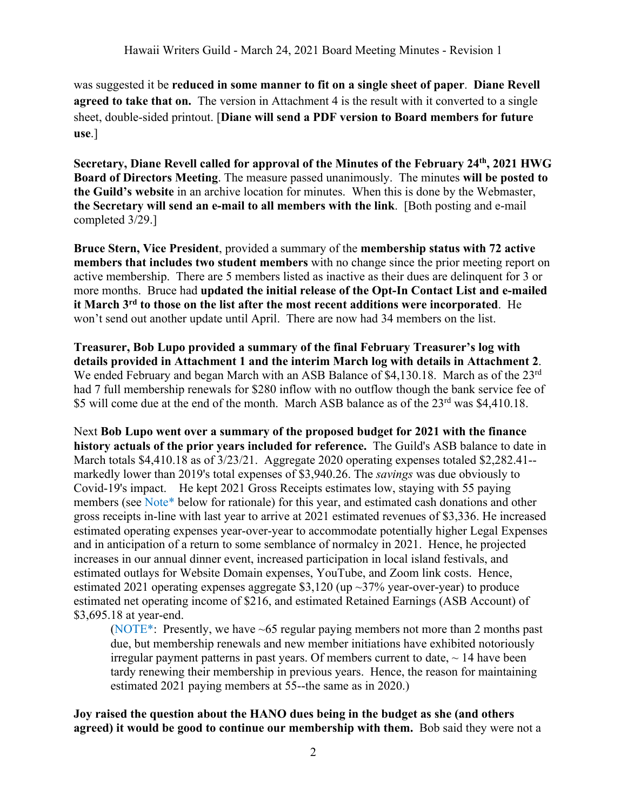was suggested it be **reduced in some manner to fit on a single sheet of paper**. **Diane Revell agreed to take that on.** The version in Attachment 4 is the result with it converted to a single sheet, double-sided printout. [**Diane will send a PDF version to Board members for future use**.]

**Secretary, Diane Revell called for approval of the Minutes of the February 24th, 2021 HWG Board of Directors Meeting**. The measure passed unanimously. The minutes **will be posted to the Guild's website** in an archive location for minutes. When this is done by the Webmaster, **the Secretary will send an e-mail to all members with the link**. [Both posting and e-mail completed 3/29.]

**Bruce Stern, Vice President**, provided a summary of the **membership status with 72 active members that includes two student members** with no change since the prior meeting report on active membership. There are 5 members listed as inactive as their dues are delinquent for 3 or more months. Bruce had **updated the initial release of the Opt-In Contact List and e-mailed it March 3rd to those on the list after the most recent additions were incorporated**. He won't send out another update until April. There are now had 34 members on the list.

**Treasurer, Bob Lupo provided a summary of the final February Treasurer's log with details provided in Attachment 1 and the interim March log with details in Attachment 2**. We ended February and began March with an ASB Balance of \$4,130.18. March as of the 23<sup>rd</sup> had 7 full membership renewals for \$280 inflow with no outflow though the bank service fee of \$5 will come due at the end of the month. March ASB balance as of the 23<sup>rd</sup> was \$4,410.18.

Next **Bob Lupo went over a summary of the proposed budget for 2021 with the finance history actuals of the prior years included for reference.** The Guild's ASB balance to date in March totals \$4,410.18 as of  $3/23/21$ . Aggregate 2020 operating expenses totaled \$2,282.41-markedly lower than 2019's total expenses of \$3,940.26. The *savings* was due obviously to Covid-19's impact. He kept 2021 Gross Receipts estimates low, staying with 55 paying members (see Note\* below for rationale) for this year, and estimated cash donations and other gross receipts in-line with last year to arrive at 2021 estimated revenues of \$3,336. He increased estimated operating expenses year-over-year to accommodate potentially higher Legal Expenses and in anticipation of a return to some semblance of normalcy in 2021. Hence, he projected increases in our annual dinner event, increased participation in local island festivals, and estimated outlays for Website Domain expenses, YouTube, and Zoom link costs. Hence, estimated 2021 operating expenses aggregate \$3,120 (up  $\sim$  37% year-over-year) to produce estimated net operating income of \$216, and estimated Retained Earnings (ASB Account) of \$3,695.18 at year-end.

(NOTE\*: Presently, we have ~65 regular paying members not more than 2 months past due, but membership renewals and new member initiations have exhibited notoriously irregular payment patterns in past years. Of members current to date,  $\sim$  14 have been tardy renewing their membership in previous years. Hence, the reason for maintaining estimated 2021 paying members at 55--the same as in 2020.)

**Joy raised the question about the HANO dues being in the budget as she (and others agreed) it would be good to continue our membership with them.** Bob said they were not a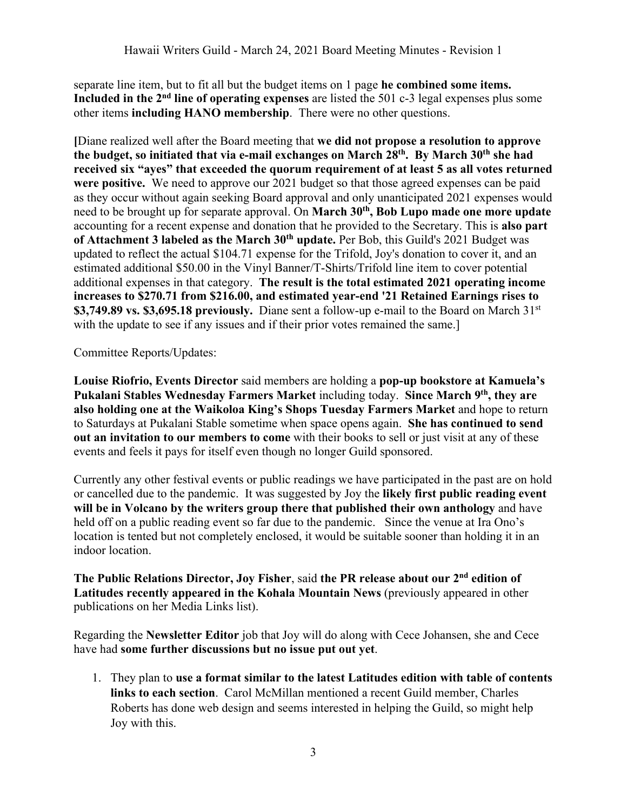separate line item, but to fit all but the budget items on 1 page **he combined some items. Included in the 2nd line of operating expenses** are listed the 501 c-3 legal expenses plus some other items **including HANO membership**. There were no other questions.

**[**Diane realized well after the Board meeting that **we did not propose a resolution to approve the budget, so initiated that via e-mail exchanges on March 28th. By March 30th she had received six "ayes" that exceeded the quorum requirement of at least 5 as all votes returned were positive.** We need to approve our 2021 budget so that those agreed expenses can be paid as they occur without again seeking Board approval and only unanticipated 2021 expenses would need to be brought up for separate approval. On **March 30<sup>th</sup>, Bob Lupo made one more update** accounting for a recent expense and donation that he provided to the Secretary. This is **also part**  of Attachment 3 labeled as the March 30<sup>th</sup> update. Per Bob, this Guild's 2021 Budget was updated to reflect the actual \$104.71 expense for the Trifold, Joy's donation to cover it, and an estimated additional \$50.00 in the Vinyl Banner/T-Shirts/Trifold line item to cover potential additional expenses in that category. **The result is the total estimated 2021 operating income increases to \$270.71 from \$216.00, and estimated year-end '21 Retained Earnings rises to \$3,749.89 vs. \$3,695.18 previously.** Diane sent a follow-up e-mail to the Board on March 31st with the update to see if any issues and if their prior votes remained the same.]

Committee Reports/Updates:

**Louise Riofrio, Events Director** said members are holding a **pop-up bookstore at Kamuela's Pukalani Stables Wednesday Farmers Market** including today. **Since March 9th, they are also holding one at the Waikoloa King's Shops Tuesday Farmers Market** and hope to return to Saturdays at Pukalani Stable sometime when space opens again. **She has continued to send out an invitation to our members to come** with their books to sell or just visit at any of these events and feels it pays for itself even though no longer Guild sponsored.

Currently any other festival events or public readings we have participated in the past are on hold or cancelled due to the pandemic. It was suggested by Joy the **likely first public reading event will be in Volcano by the writers group there that published their own anthology** and have held off on a public reading event so far due to the pandemic. Since the venue at Ira Ono's location is tented but not completely enclosed, it would be suitable sooner than holding it in an indoor location.

**The Public Relations Director, Joy Fisher**, said **the PR release about our 2nd edition of Latitudes recently appeared in the Kohala Mountain News** (previously appeared in other publications on her Media Links list).

Regarding the **Newsletter Editor** job that Joy will do along with Cece Johansen, she and Cece have had **some further discussions but no issue put out yet**.

1. They plan to **use a format similar to the latest Latitudes edition with table of contents links to each section**. Carol McMillan mentioned a recent Guild member, Charles Roberts has done web design and seems interested in helping the Guild, so might help Joy with this.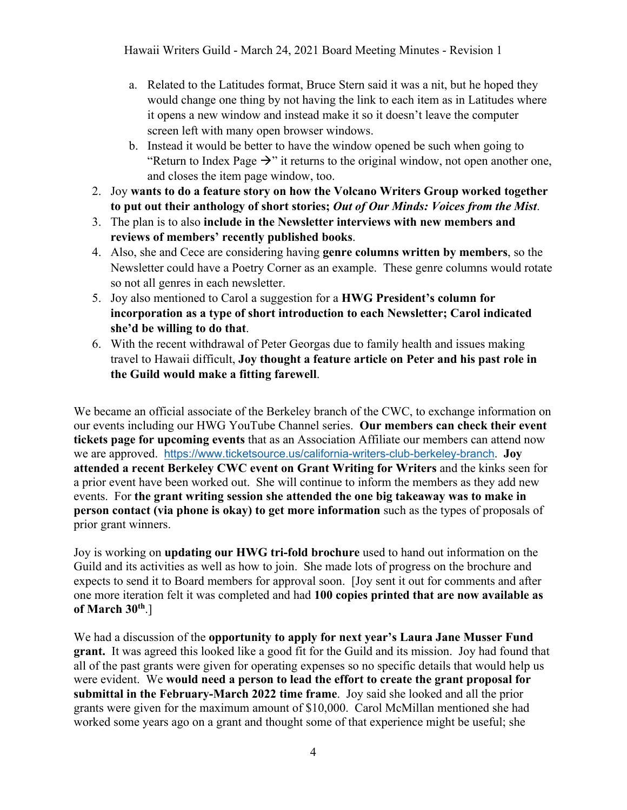Hawaii Writers Guild - March 24, 2021 Board Meeting Minutes - Revision 1

- a. Related to the Latitudes format, Bruce Stern said it was a nit, but he hoped they would change one thing by not having the link to each item as in Latitudes where it opens a new window and instead make it so it doesn't leave the computer screen left with many open browser windows.
- b. Instead it would be better to have the window opened be such when going to "Return to Index Page  $\rightarrow$ " it returns to the original window, not open another one, and closes the item page window, too.
- 2. Joy **wants to do a feature story on how the Volcano Writers Group worked together to put out their anthology of short stories;** *Out of Our Minds: Voices from the Mist*.
- 3. The plan is to also **include in the Newsletter interviews with new members and reviews of members' recently published books**.
- 4. Also, she and Cece are considering having **genre columns written by members**, so the Newsletter could have a Poetry Corner as an example. These genre columns would rotate so not all genres in each newsletter.
- 5. Joy also mentioned to Carol a suggestion for a **HWG President's column for incorporation as a type of short introduction to each Newsletter; Carol indicated she'd be willing to do that**.
- 6. With the recent withdrawal of Peter Georgas due to family health and issues making travel to Hawaii difficult, **Joy thought a feature article on Peter and his past role in the Guild would make a fitting farewell**.

We became an official associate of the Berkeley branch of the CWC, to exchange information on our events including our HWG YouTube Channel series. **Our members can check their event tickets page for upcoming events** that as an Association Affiliate our members can attend now we are approved. https://www.ticketsource.us/california-writers-club-berkeley-branch. **Joy attended a recent Berkeley CWC event on Grant Writing for Writers** and the kinks seen for a prior event have been worked out. She will continue to inform the members as they add new events. For **the grant writing session she attended the one big takeaway was to make in person contact (via phone is okay) to get more information** such as the types of proposals of prior grant winners.

Joy is working on **updating our HWG tri-fold brochure** used to hand out information on the Guild and its activities as well as how to join. She made lots of progress on the brochure and expects to send it to Board members for approval soon. [Joy sent it out for comments and after one more iteration felt it was completed and had **100 copies printed that are now available as of March 30th**.]

We had a discussion of the **opportunity to apply for next year's Laura Jane Musser Fund grant.** It was agreed this looked like a good fit for the Guild and its mission. Joy had found that all of the past grants were given for operating expenses so no specific details that would help us were evident. We **would need a person to lead the effort to create the grant proposal for submittal in the February-March 2022 time frame**. Joy said she looked and all the prior grants were given for the maximum amount of \$10,000. Carol McMillan mentioned she had worked some years ago on a grant and thought some of that experience might be useful; she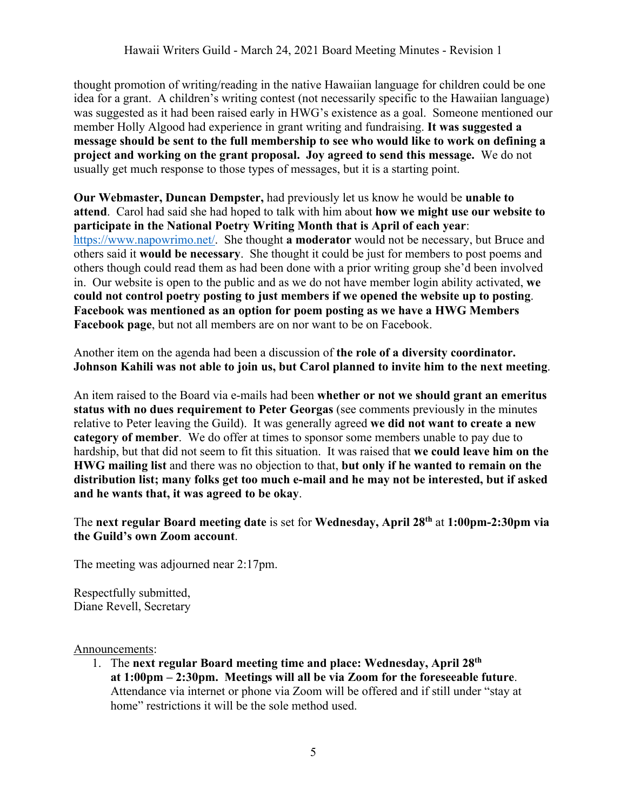thought promotion of writing/reading in the native Hawaiian language for children could be one idea for a grant. A children's writing contest (not necessarily specific to the Hawaiian language) was suggested as it had been raised early in HWG's existence as a goal. Someone mentioned our member Holly Algood had experience in grant writing and fundraising. **It was suggested a message should be sent to the full membership to see who would like to work on defining a project and working on the grant proposal. Joy agreed to send this message.** We do not usually get much response to those types of messages, but it is a starting point.

**Our Webmaster, Duncan Dempster,** had previously let us know he would be **unable to attend**. Carol had said she had hoped to talk with him about **how we might use our website to participate in the National Poetry Writing Month that is April of each year**: https://www.napowrimo.net/. She thought **a moderator** would not be necessary, but Bruce and others said it **would be necessary**. She thought it could be just for members to post poems and others though could read them as had been done with a prior writing group she'd been involved in. Our website is open to the public and as we do not have member login ability activated, **we could not control poetry posting to just members if we opened the website up to posting**. **Facebook was mentioned as an option for poem posting as we have a HWG Members Facebook page**, but not all members are on nor want to be on Facebook.

Another item on the agenda had been a discussion of **the role of a diversity coordinator. Johnson Kahili was not able to join us, but Carol planned to invite him to the next meeting**.

An item raised to the Board via e-mails had been **whether or not we should grant an emeritus status with no dues requirement to Peter Georgas** (see comments previously in the minutes relative to Peter leaving the Guild). It was generally agreed **we did not want to create a new category of member**. We do offer at times to sponsor some members unable to pay due to hardship, but that did not seem to fit this situation. It was raised that **we could leave him on the HWG mailing list** and there was no objection to that, **but only if he wanted to remain on the distribution list; many folks get too much e-mail and he may not be interested, but if asked and he wants that, it was agreed to be okay**.

The **next regular Board meeting date** is set for **Wednesday, April 28th** at **1:00pm-2:30pm via the Guild's own Zoom account**.

The meeting was adjourned near 2:17pm.

Respectfully submitted, Diane Revell, Secretary

Announcements:

1. The **next regular Board meeting time and place: Wednesday, April 28th at 1:00pm – 2:30pm. Meetings will all be via Zoom for the foreseeable future**. Attendance via internet or phone via Zoom will be offered and if still under "stay at home" restrictions it will be the sole method used.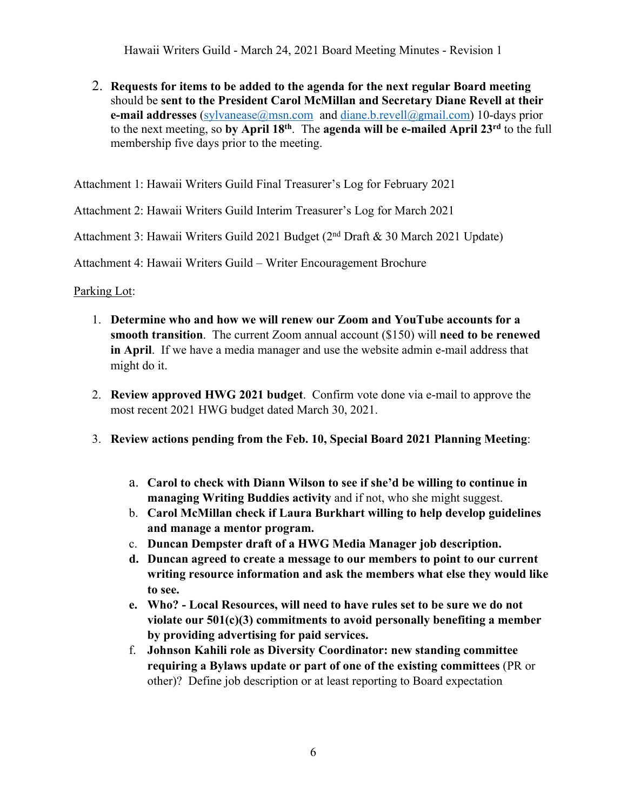Hawaii Writers Guild - March 24, 2021 Board Meeting Minutes - Revision 1

2. **Requests for items to be added to the agenda for the next regular Board meeting** should be **sent to the President Carol McMillan and Secretary Diane Revell at their e-mail addresses** (sylvanease@msn.com and diane.b.revell@gmail.com) 10-days prior to the next meeting, so **by April 18th**. The **agenda will be e-mailed April 23rd** to the full membership five days prior to the meeting.

Attachment 1: Hawaii Writers Guild Final Treasurer's Log for February 2021

Attachment 2: Hawaii Writers Guild Interim Treasurer's Log for March 2021

Attachment 3: Hawaii Writers Guild 2021 Budget (2nd Draft & 30 March 2021 Update)

Attachment 4: Hawaii Writers Guild – Writer Encouragement Brochure

Parking Lot:

- 1. **Determine who and how we will renew our Zoom and YouTube accounts for a smooth transition**. The current Zoom annual account (\$150) will **need to be renewed in April**. If we have a media manager and use the website admin e-mail address that might do it.
- 2. **Review approved HWG 2021 budget**. Confirm vote done via e-mail to approve the most recent 2021 HWG budget dated March 30, 2021.
- 3. **Review actions pending from the Feb. 10, Special Board 2021 Planning Meeting**:
	- a. **Carol to check with Diann Wilson to see if she'd be willing to continue in managing Writing Buddies activity** and if not, who she might suggest.
	- b. **Carol McMillan check if Laura Burkhart willing to help develop guidelines and manage a mentor program.**
	- c. **Duncan Dempster draft of a HWG Media Manager job description.**
	- **d. Duncan agreed to create a message to our members to point to our current writing resource information and ask the members what else they would like to see.**
	- **e. Who? - Local Resources, will need to have rules set to be sure we do not violate our 501(c)(3) commitments to avoid personally benefiting a member by providing advertising for paid services.**
	- f. **Johnson Kahili role as Diversity Coordinator: new standing committee requiring a Bylaws update or part of one of the existing committees** (PR or other)? Define job description or at least reporting to Board expectation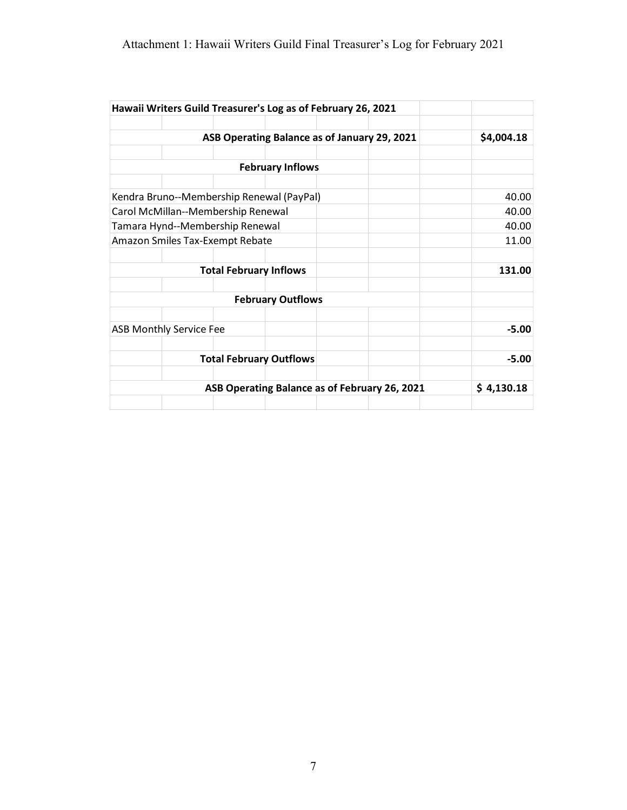### Attachment 1: Hawaii Writers Guild Final Treasurer's Log for February 2021

|                                    |                               | Hawaii Writers Guild Treasurer's Log as of February 26, 2021 |  |            |
|------------------------------------|-------------------------------|--------------------------------------------------------------|--|------------|
|                                    |                               |                                                              |  |            |
|                                    |                               | ASB Operating Balance as of January 29, 2021                 |  | \$4,004.18 |
|                                    |                               |                                                              |  |            |
|                                    |                               | <b>February Inflows</b>                                      |  |            |
|                                    |                               |                                                              |  |            |
|                                    |                               | Kendra Bruno--Membership Renewal (PayPal)                    |  | 40.00      |
| Carol McMillan--Membership Renewal |                               |                                                              |  | 40.00      |
| Tamara Hynd--Membership Renewal    |                               |                                                              |  | 40.00      |
| Amazon Smiles Tax-Exempt Rebate    |                               |                                                              |  | 11.00      |
|                                    |                               |                                                              |  |            |
|                                    | <b>Total February Inflows</b> |                                                              |  | 131.00     |
|                                    |                               | <b>February Outflows</b>                                     |  |            |
|                                    |                               |                                                              |  |            |
| <b>ASB Monthly Service Fee</b>     |                               |                                                              |  | $-5.00$    |
|                                    |                               |                                                              |  |            |
|                                    |                               | <b>Total February Outflows</b>                               |  | $-5.00$    |
|                                    |                               | ASB Operating Balance as of February 26, 2021                |  | \$4,130.18 |
|                                    |                               |                                                              |  |            |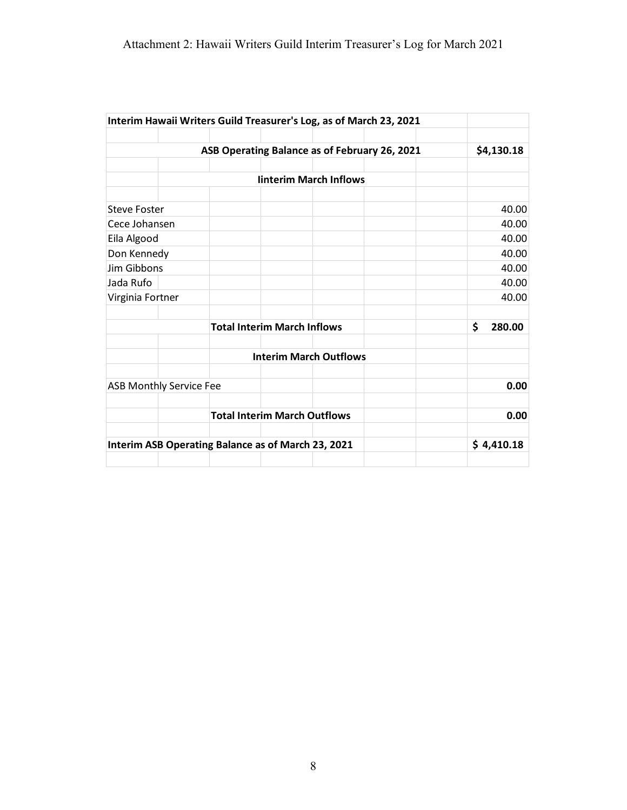|                     | Interim Hawaii Writers Guild Treasurer's Log, as of March 23, 2021                                                                                                                                                                                                  |              |  |  |
|---------------------|---------------------------------------------------------------------------------------------------------------------------------------------------------------------------------------------------------------------------------------------------------------------|--------------|--|--|
|                     |                                                                                                                                                                                                                                                                     | \$4,130.18   |  |  |
|                     | ASB Operating Balance as of February 26, 2021<br><b>linterim March Inflows</b><br>Cece Johansen<br>Virginia Fortner<br><b>Total Interim March Inflows</b><br><b>Interim March Outflows</b><br><b>ASB Monthly Service Fee</b><br><b>Total Interim March Outflows</b> |              |  |  |
|                     |                                                                                                                                                                                                                                                                     |              |  |  |
|                     |                                                                                                                                                                                                                                                                     |              |  |  |
| <b>Steve Foster</b> |                                                                                                                                                                                                                                                                     | 40.00        |  |  |
|                     |                                                                                                                                                                                                                                                                     | 40.00        |  |  |
| Eila Algood         |                                                                                                                                                                                                                                                                     | 40.00        |  |  |
| Don Kennedy         |                                                                                                                                                                                                                                                                     | 40.00        |  |  |
| Jim Gibbons         |                                                                                                                                                                                                                                                                     | 40.00        |  |  |
| Jada Rufo           |                                                                                                                                                                                                                                                                     | 40.00        |  |  |
|                     |                                                                                                                                                                                                                                                                     | 40.00        |  |  |
|                     |                                                                                                                                                                                                                                                                     | \$<br>280.00 |  |  |
|                     |                                                                                                                                                                                                                                                                     |              |  |  |
|                     |                                                                                                                                                                                                                                                                     | 0.00         |  |  |
|                     |                                                                                                                                                                                                                                                                     | 0.00         |  |  |
|                     | Interim ASB Operating Balance as of March 23, 2021                                                                                                                                                                                                                  | \$4,410.18   |  |  |
|                     |                                                                                                                                                                                                                                                                     |              |  |  |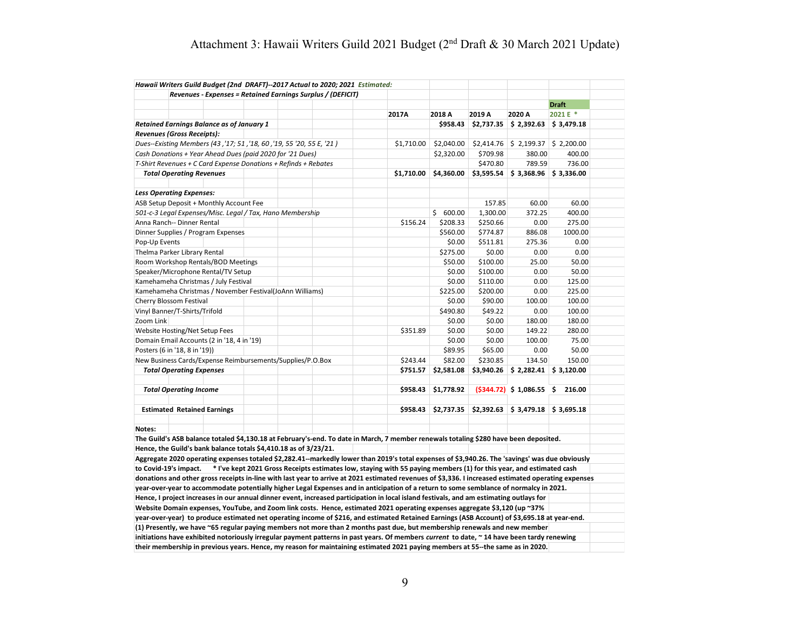## Attachment 3: Hawaii Writers Guild 2021 Budget (2nd Draft & 30 March 2021 Update)

| Hawaii Writers Guild Budget (2nd DRAFT)--2017 Actual to 2020; 2021 Estimated:                                                                       |                                                                                                                     |            |            |            |                                   |                            |
|-----------------------------------------------------------------------------------------------------------------------------------------------------|---------------------------------------------------------------------------------------------------------------------|------------|------------|------------|-----------------------------------|----------------------------|
| Revenues - Expenses = Retained Earnings Surplus / (DEFICIT)                                                                                         |                                                                                                                     |            |            |            |                                   |                            |
|                                                                                                                                                     |                                                                                                                     |            |            |            |                                   | <b>Draft</b>               |
|                                                                                                                                                     |                                                                                                                     | 2017A      | 2018 A     | 2019 A     | 2020 A                            | 2021 E *                   |
| <b>Retained Earnings Balance as of January 1</b>                                                                                                    |                                                                                                                     |            | \$958.43   | \$2,737.35 | \$2,392.63                        | \$3,479.18                 |
| Revenues (Gross Receipts):                                                                                                                          |                                                                                                                     |            |            |            |                                   |                            |
| Dues--Existing Members (43, '17; 51, '18, 60, '19, 55 '20, 55 E, '21)                                                                               |                                                                                                                     | \$1,710.00 | \$2,040.00 | \$2,414.76 |                                   | $$2,199.37 \mid $2,200.00$ |
| Cash Donations + Year Ahead Dues (paid 2020 for '21 Dues)                                                                                           |                                                                                                                     |            | \$2,320.00 | \$709.98   | 380.00                            | 400.00                     |
| T-Shirt Revenues + C Card Expense Donations + Refinds + Rebates                                                                                     |                                                                                                                     |            |            | \$470.80   | 789.59                            | 736.00                     |
| <b>Total Operating Revenues</b>                                                                                                                     |                                                                                                                     | \$1,710.00 | \$4,360.00 | \$3,595.54 |                                   | $$3,368.96$ $$3,336.00$    |
|                                                                                                                                                     |                                                                                                                     |            |            |            |                                   |                            |
| <b>Less Operating Expenses:</b>                                                                                                                     |                                                                                                                     |            |            |            |                                   |                            |
| ASB Setup Deposit + Monthly Account Fee                                                                                                             |                                                                                                                     |            |            | 157.85     | 60.00                             | 60.00                      |
| 501-c-3 Legal Expenses/Misc. Legal / Tax, Hano Membership                                                                                           |                                                                                                                     |            | \$600.00   | 1,300.00   | 372.25                            | 400.00                     |
| Anna Ranch-- Dinner Rental                                                                                                                          |                                                                                                                     | \$156.24   | \$208.33   | \$250.66   | 0.00                              | 275.00                     |
| Dinner Supplies / Program Expenses                                                                                                                  |                                                                                                                     |            | \$560.00   | \$774.87   | 886.08                            | 1000.00                    |
| Pop-Up Events                                                                                                                                       |                                                                                                                     |            | \$0.00     | \$511.81   | 275.36                            | 0.00                       |
| Thelma Parker Library Rental                                                                                                                        |                                                                                                                     |            | \$275.00   | \$0.00     | 0.00                              | 0.00                       |
| Room Workshop Rentals/BOD Meetings                                                                                                                  |                                                                                                                     |            | \$50.00    | \$100.00   | 25.00                             | 50.00                      |
| Speaker/Microphone Rental/TV Setup                                                                                                                  |                                                                                                                     |            | \$0.00     | \$100.00   | 0.00                              | 50.00                      |
| Kamehameha Christmas / July Festival                                                                                                                |                                                                                                                     |            | \$0.00     | \$110.00   | 0.00                              | 125.00                     |
|                                                                                                                                                     |                                                                                                                     |            |            |            |                                   |                            |
| Kamehameha Christmas / November Festival(JoAnn Williams)                                                                                            |                                                                                                                     |            | \$225.00   | \$200.00   | 0.00                              | 225.00                     |
| Cherry Blossom Festival                                                                                                                             |                                                                                                                     |            | \$0.00     | \$90.00    | 100.00                            | 100.00                     |
| Vinyl Banner/T-Shirts/Trifold                                                                                                                       |                                                                                                                     |            | \$490.80   | \$49.22    | 0.00                              | 100.00                     |
| Zoom Link                                                                                                                                           |                                                                                                                     |            | \$0.00     | \$0.00     | 180.00                            | 180.00                     |
| Website Hosting/Net Setup Fees                                                                                                                      |                                                                                                                     | \$351.89   | \$0.00     | \$0.00     | 149.22                            | 280.00                     |
| Domain Email Accounts (2 in '18, 4 in '19)                                                                                                          |                                                                                                                     |            | \$0.00     | \$0.00     | 100.00                            | 75.00                      |
| Posters (6 in '18, 8 in '19))                                                                                                                       |                                                                                                                     |            | \$89.95    | \$65.00    | 0.00                              | 50.00                      |
| New Business Cards/Expense Reimbursements/Supplies/P.O.Box                                                                                          |                                                                                                                     | \$243.44   | \$82.00    | \$230.85   | 134.50                            | 150.00                     |
| <b>Total Operating Expenses</b>                                                                                                                     |                                                                                                                     | \$751.57   | \$2,581.08 | \$3,940.26 |                                   | $$2,282.41$ $$3,120.00$    |
|                                                                                                                                                     |                                                                                                                     |            |            |            |                                   |                            |
| <b>Total Operating Income</b>                                                                                                                       |                                                                                                                     | \$958.43   | \$1,778.92 |            | $(5344.72)$ \$ 1,086.55 \$ 216.00 |                            |
|                                                                                                                                                     |                                                                                                                     |            |            |            |                                   |                            |
| <b>Estimated Retained Earnings</b>                                                                                                                  |                                                                                                                     | \$958.43   | \$2,737.35 | \$2,392.63 |                                   | $$3,479.18$ $$3,695.18$    |
| Notes:                                                                                                                                              |                                                                                                                     |            |            |            |                                   |                            |
| The Guild's ASB balance totaled \$4,130.18 at February's-end. To date in March, 7 member renewals totaling \$280 have been deposited.               |                                                                                                                     |            |            |            |                                   |                            |
| Hence, the Guild's bank balance totals \$4,410.18 as of 3/23/21.                                                                                    |                                                                                                                     |            |            |            |                                   |                            |
| Aggregate 2020 operating expenses totaled \$2,282.41--markedly lower than 2019's total expenses of \$3,940.26. The 'savings' was due obviously      |                                                                                                                     |            |            |            |                                   |                            |
| to Covid-19's impact.                                                                                                                               | * I've kept 2021 Gross Receipts estimates low, staying with 55 paying members (1) for this year, and estimated cash |            |            |            |                                   |                            |
| donations and other gross receipts in-line with last year to arrive at 2021 estimated revenues of \$3,336. I increased estimated operating expenses |                                                                                                                     |            |            |            |                                   |                            |
|                                                                                                                                                     |                                                                                                                     |            |            |            |                                   |                            |
| year-over-year to accommodate potentially higher Legal Expenses and in anticipation of a return to some semblance of normalcy in 2021.              |                                                                                                                     |            |            |            |                                   |                            |
| Hence, I project increases in our annual dinner event, increased participation in local island festivals, and am estimating outlays for             |                                                                                                                     |            |            |            |                                   |                            |
| Website Domain expenses, YouTube, and Zoom link costs. Hence, estimated 2021 operating expenses aggregate \$3,120 (up ~37%                          |                                                                                                                     |            |            |            |                                   |                            |
| year-over-year) to produce estimated net operating income of \$216, and estimated Retained Earnings (ASB Account) of \$3,695.18 at year-end.        |                                                                                                                     |            |            |            |                                   |                            |
| (1) Presently, we have ~65 regular paying members not more than 2 months past due, but membership renewals and new member                           |                                                                                                                     |            |            |            |                                   |                            |
| initiations have exhibited notoriously irregular payment patterns in past years. Of members current to date, ~14 have been tardy renewing           |                                                                                                                     |            |            |            |                                   |                            |
| their membership in previous years. Hence, my reason for maintaining estimated 2021 paying members at 55--the same as in 2020.                      |                                                                                                                     |            |            |            |                                   |                            |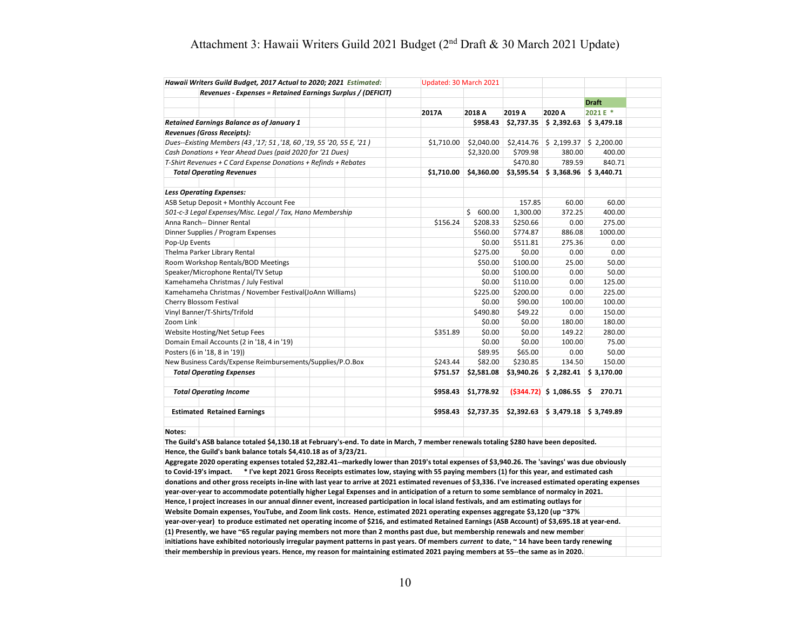## Attachment 3: Hawaii Writers Guild 2021 Budget (2nd Draft & 30 March 2021 Update)

|                                                                             | Hawaii Writers Guild Budget, 2017 Actual to 2020; 2021 Estimated:                                                                                                                                                                                                                                |  |        | Updated: 30 March 2021 |                  |            |                                     |                         |  |
|-----------------------------------------------------------------------------|--------------------------------------------------------------------------------------------------------------------------------------------------------------------------------------------------------------------------------------------------------------------------------------------------|--|--------|------------------------|------------------|------------|-------------------------------------|-------------------------|--|
|                                                                             | Revenues - Expenses = Retained Earnings Surplus / (DEFICIT)                                                                                                                                                                                                                                      |  |        |                        |                  |            |                                     |                         |  |
|                                                                             |                                                                                                                                                                                                                                                                                                  |  |        |                        |                  |            |                                     | <b>Draft</b>            |  |
|                                                                             |                                                                                                                                                                                                                                                                                                  |  |        | 2017A                  | 2018 A           | 2019 A     | 2020 A                              | 2021 E *                |  |
|                                                                             | Retained Earnings Balance as of January 1                                                                                                                                                                                                                                                        |  |        |                        | \$958.43         | \$2,737.35 | \$2,392.63                          | \$3,479.18              |  |
|                                                                             | Revenues (Gross Receipts):                                                                                                                                                                                                                                                                       |  |        |                        |                  |            |                                     |                         |  |
|                                                                             | Dues--Existing Members (43, '17; 51, '18, 60, '19, 55 '20, 55 E, '21)                                                                                                                                                                                                                            |  |        | \$1,710.00             | \$2,040.00       |            | $$2,414.76$ $$2,199.37$ $$2,200.00$ |                         |  |
|                                                                             | Cash Donations + Year Ahead Dues (paid 2020 for '21 Dues)                                                                                                                                                                                                                                        |  |        |                        | \$2,320.00       | \$709.98   | 380.00                              | 400.00                  |  |
|                                                                             | T-Shirt Revenues + C Card Expense Donations + Refinds + Rebates                                                                                                                                                                                                                                  |  |        |                        |                  | \$470.80   | 789.59                              | 840.71                  |  |
|                                                                             | <b>Total Operating Revenues</b>                                                                                                                                                                                                                                                                  |  |        | \$1,710.00             | \$4,360.00       | \$3,595.54 |                                     | $$3,368.96$ $$3,440.71$ |  |
|                                                                             |                                                                                                                                                                                                                                                                                                  |  |        |                        |                  |            |                                     |                         |  |
|                                                                             | <b>Less Operating Expenses:</b>                                                                                                                                                                                                                                                                  |  |        |                        |                  |            |                                     |                         |  |
|                                                                             | ASB Setup Deposit + Monthly Account Fee                                                                                                                                                                                                                                                          |  |        |                        |                  | 157.85     | 60.00                               | 60.00                   |  |
|                                                                             | 501-c-3 Legal Expenses/Misc. Legal / Tax, Hano Membership                                                                                                                                                                                                                                        |  |        |                        | \$600.00         | 1,300.00   | 372.25                              | 400.00                  |  |
|                                                                             | Anna Ranch-- Dinner Rental                                                                                                                                                                                                                                                                       |  |        | \$156.24               | \$208.33         | \$250.66   | 0.00                                | 275.00                  |  |
|                                                                             | Dinner Supplies / Program Expenses                                                                                                                                                                                                                                                               |  |        |                        | \$560.00         | \$774.87   | 886.08                              | 1000.00                 |  |
| Pop-Up Events                                                               |                                                                                                                                                                                                                                                                                                  |  |        |                        | \$0.00           | \$511.81   | 275.36                              | 0.00                    |  |
|                                                                             | Thelma Parker Library Rental                                                                                                                                                                                                                                                                     |  |        |                        | \$275.00         | \$0.00     | 0.00                                | 0.00                    |  |
|                                                                             |                                                                                                                                                                                                                                                                                                  |  |        |                        | \$50.00          | \$100.00   | 25.00                               | 50.00                   |  |
| Room Workshop Rentals/BOD Meetings<br>Speaker/Microphone Rental/TV Setup    |                                                                                                                                                                                                                                                                                                  |  |        | \$0.00                 | \$100.00         | 0.00       | 50.00                               |                         |  |
|                                                                             | Kamehameha Christmas / July Festival                                                                                                                                                                                                                                                             |  |        |                        | \$0.00           | \$110.00   | 0.00                                | 125.00                  |  |
|                                                                             | Kamehameha Christmas / November Festival(JoAnn Williams)                                                                                                                                                                                                                                         |  |        |                        | \$225.00         | \$200.00   | 0.00                                | 225.00                  |  |
|                                                                             | Cherry Blossom Festival                                                                                                                                                                                                                                                                          |  |        |                        | \$0.00           | \$90.00    | 100.00                              | 100.00                  |  |
|                                                                             | Vinyl Banner/T-Shirts/Trifold                                                                                                                                                                                                                                                                    |  |        |                        | \$490.80         | \$49.22    | 0.00                                | 150.00                  |  |
|                                                                             |                                                                                                                                                                                                                                                                                                  |  |        |                        |                  |            |                                     | 180.00                  |  |
| Zoom Link                                                                   |                                                                                                                                                                                                                                                                                                  |  |        |                        | \$0.00<br>\$0.00 | \$0.00     | 180.00<br>149.22                    | 280.00                  |  |
|                                                                             | Website Hosting/Net Setup Fees                                                                                                                                                                                                                                                                   |  |        | \$351.89               |                  | \$0.00     |                                     |                         |  |
| Domain Email Accounts (2 in '18, 4 in '19)<br>Posters (6 in '18, 8 in '19)) |                                                                                                                                                                                                                                                                                                  |  | \$0.00 | \$0.00                 | 100.00           | 75.00      |                                     |                         |  |
|                                                                             |                                                                                                                                                                                                                                                                                                  |  |        |                        | \$89.95          | \$65.00    | 0.00                                | 50.00                   |  |
|                                                                             | New Business Cards/Expense Reimbursements/Supplies/P.O.Box                                                                                                                                                                                                                                       |  |        | \$243.44               | \$82.00          | \$230.85   | 134.50                              | 150.00                  |  |
|                                                                             | <b>Total Operating Expenses</b>                                                                                                                                                                                                                                                                  |  |        | \$751.57               | \$2,581.08       | \$3,940.26 |                                     | $$2,282.41$ $$3,170.00$ |  |
|                                                                             | <b>Total Operating Income</b>                                                                                                                                                                                                                                                                    |  |        | \$958.43               | \$1,778.92       |            | $(5344.72)$ \$ 1,086.55 \$ 270.71   |                         |  |
|                                                                             |                                                                                                                                                                                                                                                                                                  |  |        |                        |                  |            |                                     |                         |  |
|                                                                             | <b>Estimated Retained Earnings</b>                                                                                                                                                                                                                                                               |  |        | \$958.43               | \$2,737.35       | \$2,392.63 |                                     | $$3,479.18$ $$3,749.89$ |  |
| Notes:                                                                      |                                                                                                                                                                                                                                                                                                  |  |        |                        |                  |            |                                     |                         |  |
|                                                                             | The Guild's ASB balance totaled \$4,130.18 at February's-end. To date in March, 7 member renewals totaling \$280 have been deposited.                                                                                                                                                            |  |        |                        |                  |            |                                     |                         |  |
|                                                                             | Hence, the Guild's bank balance totals \$4,410.18 as of 3/23/21.                                                                                                                                                                                                                                 |  |        |                        |                  |            |                                     |                         |  |
|                                                                             | Aggregate 2020 operating expenses totaled \$2,282.41--markedly lower than 2019's total expenses of \$3,940.26. The 'savings' was due obviously                                                                                                                                                   |  |        |                        |                  |            |                                     |                         |  |
|                                                                             | to Covid-19's impact. * I've kept 2021 Gross Receipts estimates low, staying with 55 paying members (1) for this year, and estimated cash                                                                                                                                                        |  |        |                        |                  |            |                                     |                         |  |
|                                                                             |                                                                                                                                                                                                                                                                                                  |  |        |                        |                  |            |                                     |                         |  |
|                                                                             | donations and other gross receipts in-line with last year to arrive at 2021 estimated revenues of \$3,336. I've increased estimated operating expenses<br>year-over-year to accommodate potentially higher Legal Expenses and in anticipation of a return to some semblance of normalcy in 2021. |  |        |                        |                  |            |                                     |                         |  |
|                                                                             | Hence, I project increases in our annual dinner event, increased participation in local island festivals, and am estimating outlays for                                                                                                                                                          |  |        |                        |                  |            |                                     |                         |  |
|                                                                             |                                                                                                                                                                                                                                                                                                  |  |        |                        |                  |            |                                     |                         |  |
|                                                                             | Website Domain expenses, YouTube, and Zoom link costs. Hence, estimated 2021 operating expenses aggregate \$3,120 (up ~37%                                                                                                                                                                       |  |        |                        |                  |            |                                     |                         |  |
|                                                                             | year-over-year) to produce estimated net operating income of \$216, and estimated Retained Earnings (ASB Account) of \$3,695.18 at year-end.                                                                                                                                                     |  |        |                        |                  |            |                                     |                         |  |
|                                                                             | (1) Presently, we have ~65 regular paying members not more than 2 months past due, but membership renewals and new member                                                                                                                                                                        |  |        |                        |                  |            |                                     |                         |  |
|                                                                             | initiations have exhibited notoriously irregular payment patterns in past years. Of members current to date, ~14 have been tardy renewing                                                                                                                                                        |  |        |                        |                  |            |                                     |                         |  |
|                                                                             | their membership in previous years. Hence, my reason for maintaining estimated 2021 paying members at 55--the same as in 2020.                                                                                                                                                                   |  |        |                        |                  |            |                                     |                         |  |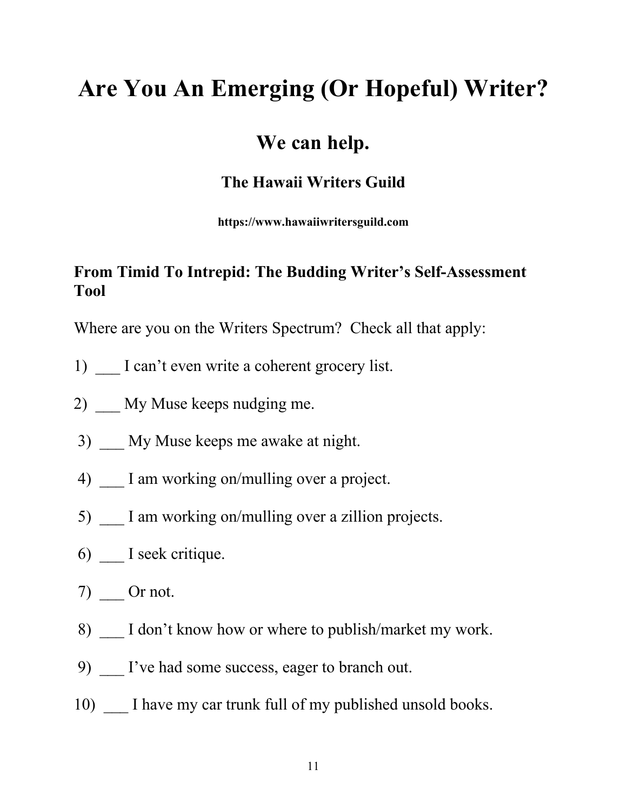# **Are You An Emerging (Or Hopeful) Writer?**

## **We can help.**

#### **The Hawaii Writers Guild**

**https://www.hawaiiwritersguild.com**

### **From Timid To Intrepid: The Budding Writer's Self-Assessment Tool**

Where are you on the Writers Spectrum? Check all that apply:

- 1) I can't even write a coherent grocery list.
- 2) My Muse keeps nudging me.
- 3) \_\_\_ My Muse keeps me awake at night.
- 4) I am working on/mulling over a project.
- 5) I am working on/mulling over a zillion projects.
- 6) I seek critique.
- 7) Or not.
- 8) I don't know how or where to publish/market my work.
- 9) I've had some success, eager to branch out.
- 10) I have my car trunk full of my published unsold books.